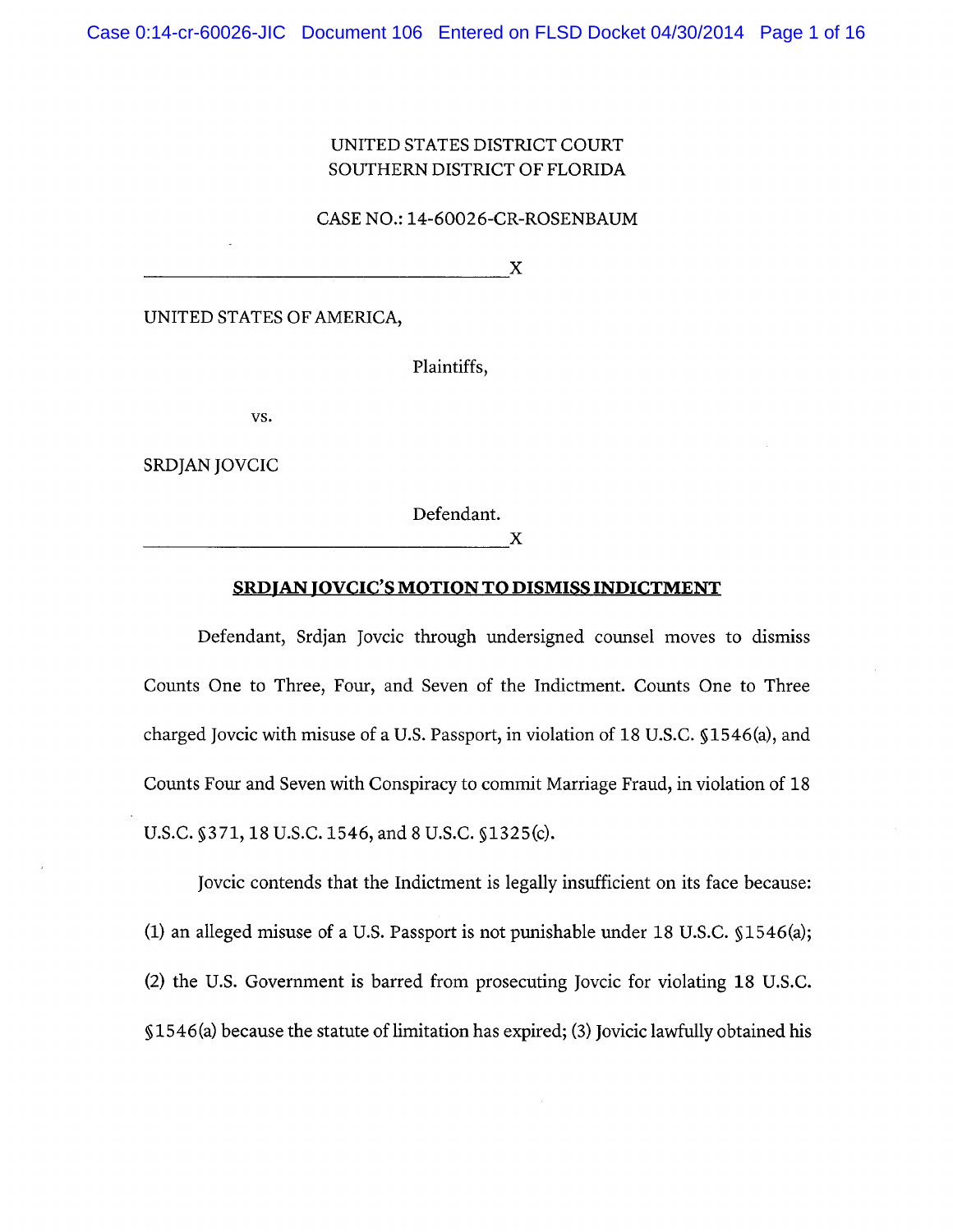# UNITED STATES DISTRICT COURT SOUTHERN DISTRICT OF FLORIDA

CASE NO.: 14-60026-CR-ROSENBAUM

X

UNITED STATES OF AMERICA,

Plaintiffs,

vs.

SRDJAN JOVCIC

Defendant.

X

## **SRDJAN JOVCIC'S MOTION TO DISMISS INDICTMENT**

Defendant, Srdjan Jovcic through undersigned counsel moves to dismiss Counts One to Three, Four, and Seven of the Indictment. Counts One to Three charged Jovcic with misuse of a U.S. Passport, in violation of 18 U.S.C. §1546(a), and Counts Four and Seven with Conspiracy to commit Marriage Fraud, in violation of 18 U.S.C. §371, 18 U.S.C. 1546, and 8 U.S.C. §1325(c).

Jovcic contends that the Indictment is legally insufficient on its face because: (1) an alleged misuse of a U.S. Passport is not punishable under 18 U.S.C.  $$1546(a);$ (2) the U.S. Government is barred from prosecuting Jovcic for violating 18 U.S.C. §1546(a) because the statute of limitation has expired; (3) Jovicic lawfully obtained his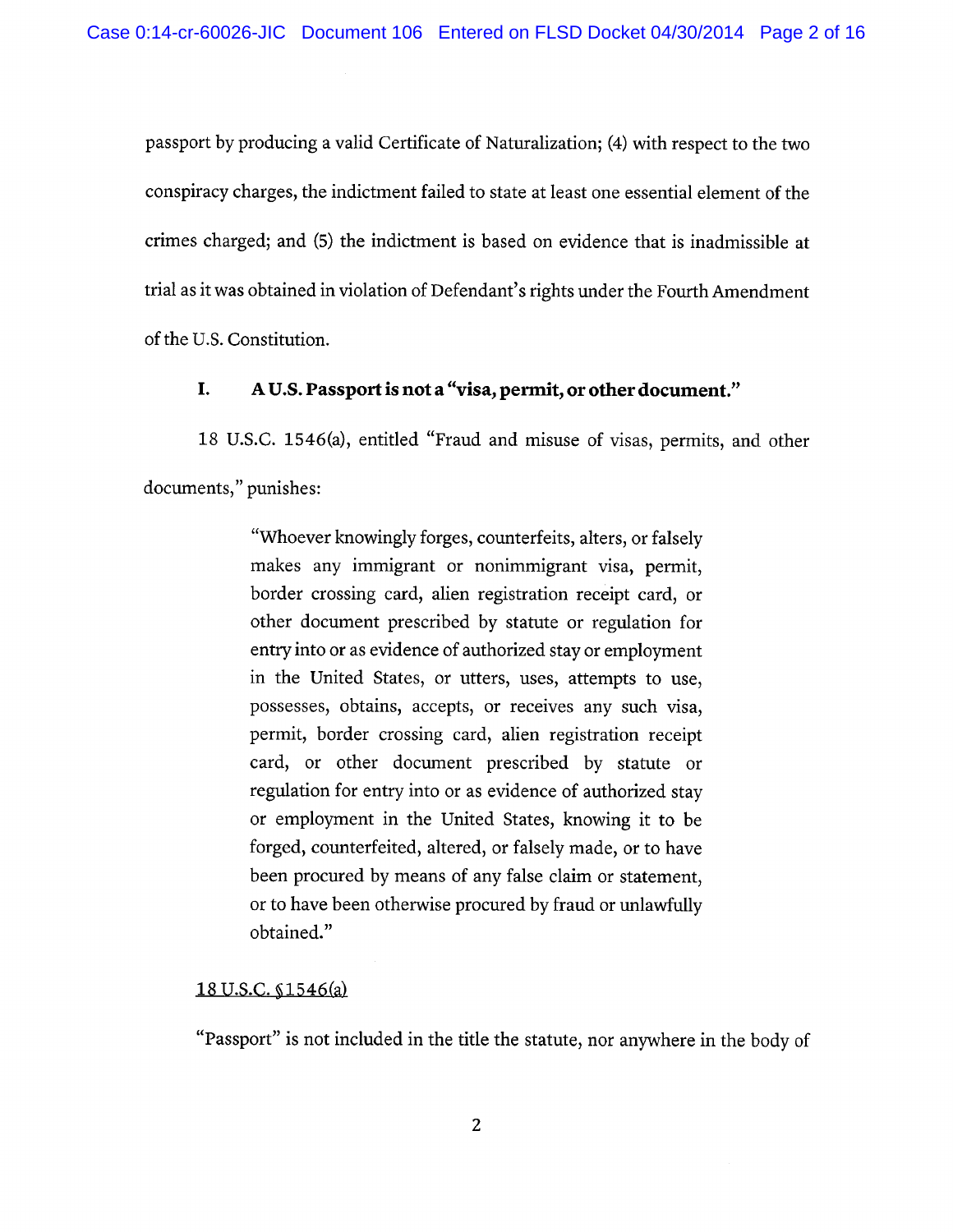passport by producing a valid Certificate of Naturalization; (4) with respect to the two conspiracy charges, the indictment failed to state at least one essential element of the crimes charged; and (5) the indictment is based on evidence that is inadmissible at trial as it was obtained in violation of Defendant's rights under the Fourth Amendment of the U.S. Constitution.

#### A U.S. Passport is not a "visa, permit, or other document." I.

18 U.S.C. 1546(a), entitled "Fraud and misuse of visas, permits, and other

documents," punishes:

"Whoever knowingly forges, counterfeits, alters, or falsely makes any immigrant or nonimmigrant visa, permit, border crossing card, alien registration receipt card, or other document prescribed by statute or regulation for entry into or as evidence of authorized stay or employment in the United States, or utters, uses, attempts to use, possesses, obtains, accepts, or receives any such visa, permit, border crossing card, alien registration receipt card, or other document prescribed by statute or regulation for entry into or as evidence of authorized stay or employment in the United States, knowing it to be forged, counterfeited, altered, or falsely made, or to have been procured by means of any false claim or statement, or to have been otherwise procured by fraud or unlawfully obtained."

# 18 U.S.C. §1546(a)

"Passport" is not included in the title the statute, nor anywhere in the body of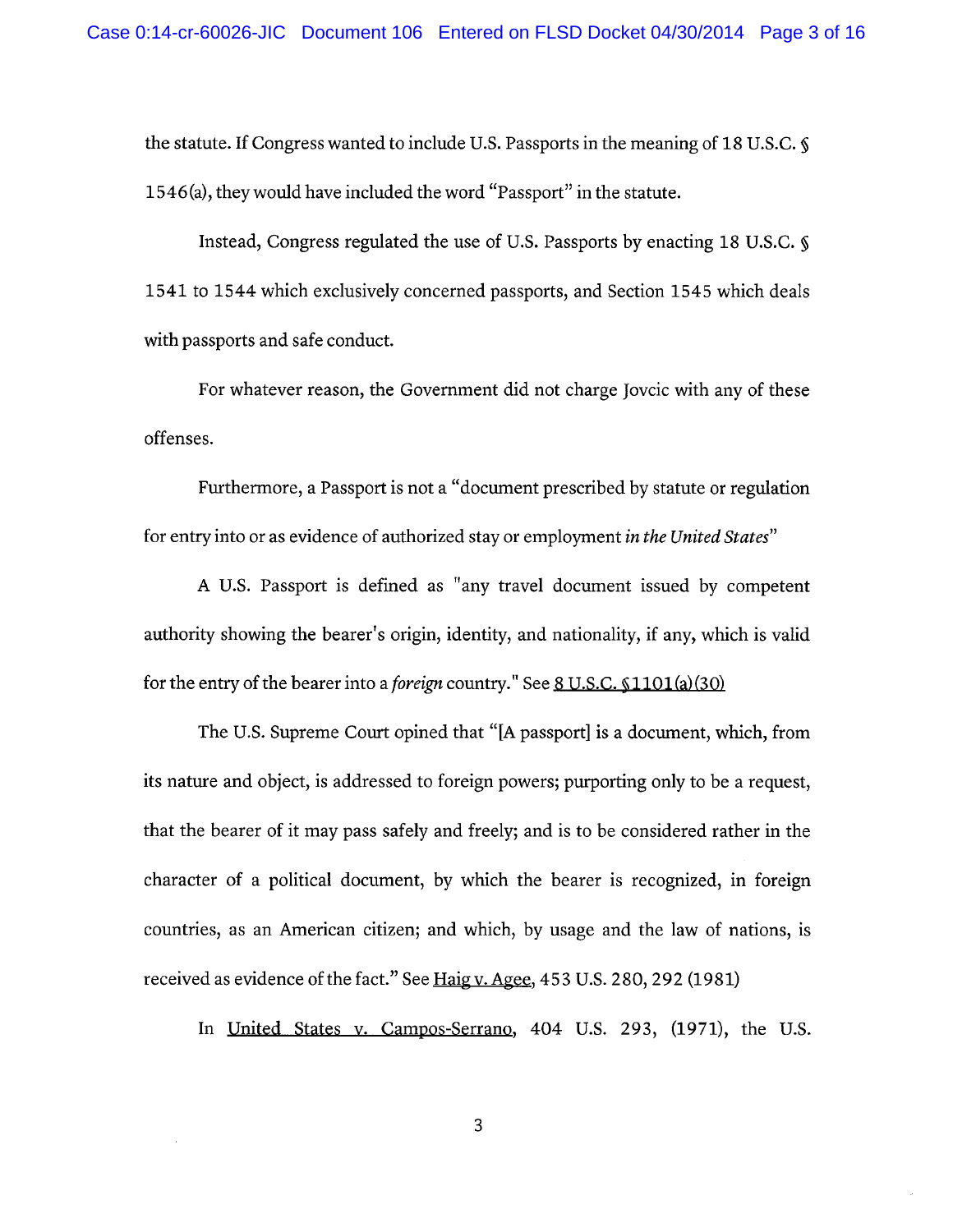the statute. If Congress wanted to include U.S. Passports in the meaning of 18 U.S.C. § 1546(a), they would have included the word "Passport" in the statute.

Instead, Congress regulated the use of U.S. Passports by enacting 18 U.S.C.  $\delta$ 1541 to 1544 which exclusively concerned passports, and Section 1545 which deals with passports and safe conduct.

For whatever reason, the Government did not charge Jovcic with any of these offenses.

Furthermore, a Passport is not a "document prescribed by statute or regulation for entry into or as evidence of authorized stay or employment in the United States"

A U.S. Passport is defined as "any travel document issued by competent authority showing the bearer's origin, identity, and nationality, if any, which is valid for the entry of the bearer into a *foreign* country." See  $8 \text{ U.S.C. } $1101(a)(30)$ 

The U.S. Supreme Court opined that "[A passport] is a document, which, from its nature and object, is addressed to foreign powers; purporting only to be a request, that the bearer of it may pass safely and freely; and is to be considered rather in the character of a political document, by which the bearer is recognized, in foreign countries, as an American citizen; and which, by usage and the law of nations, is received as evidence of the fact." See Haig v. Agee, 453 U.S. 280, 292 (1981)

In United States v. Campos-Serrano, 404 U.S. 293, (1971), the U.S.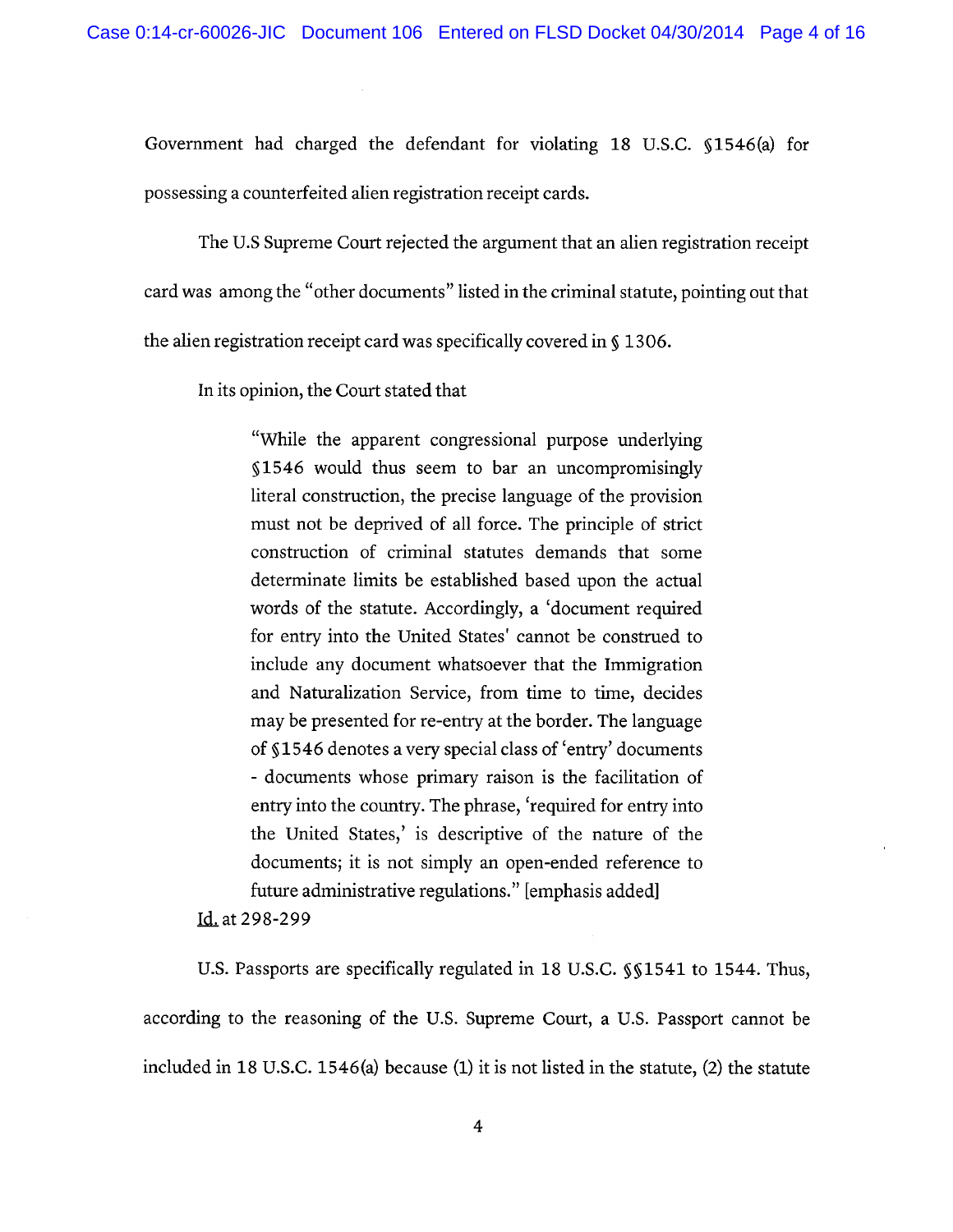Government had charged the defendant for violating 18 U.S.C. §1546(a) for possessing a counterfeited alien registration receipt cards.

The U.S Supreme Court rejected the argument that an alien registration receipt

card was among the "other documents" listed in the criminal statute, pointing out that

the alien registration receipt card was specifically covered in §1306.

In its opinion, the Court stated that

"While the apparent congressional purpose underlying §1546 would thus seem to bar an uncompromisingly literal construction, the precise language of the provision must not be deprived of all force. The principle of strict construction of criminal statutes demands that some determinate limits be established based upon the actual words of the statute. Accordingly, a 'document required for entry into the United States' cannot be construed to include any document whatsoever that the Immigration and Naturalization Service, from time to time, decides may be presented for re-entry at the border. The language of §1546 denotes a very special class of 'entry' documents - documents whose primary raison is the facilitation of entry into the country. The phrase, 'required for entry into the United States,' is descriptive of the nature of the documents; it is not simply an open-ended reference to future administrative regulations." [emphasis added]

Id. at 298-299

U.S. Passports are specifically regulated in 18 U.S.C. §§1541 to 1544. Thus, according to the reasoning of the U.S. Supreme Court, a U.S. Passport cannot be included in 18 U.S.C. 1546(a) because (1) it is not listed in the statute,  $(2)$  the statute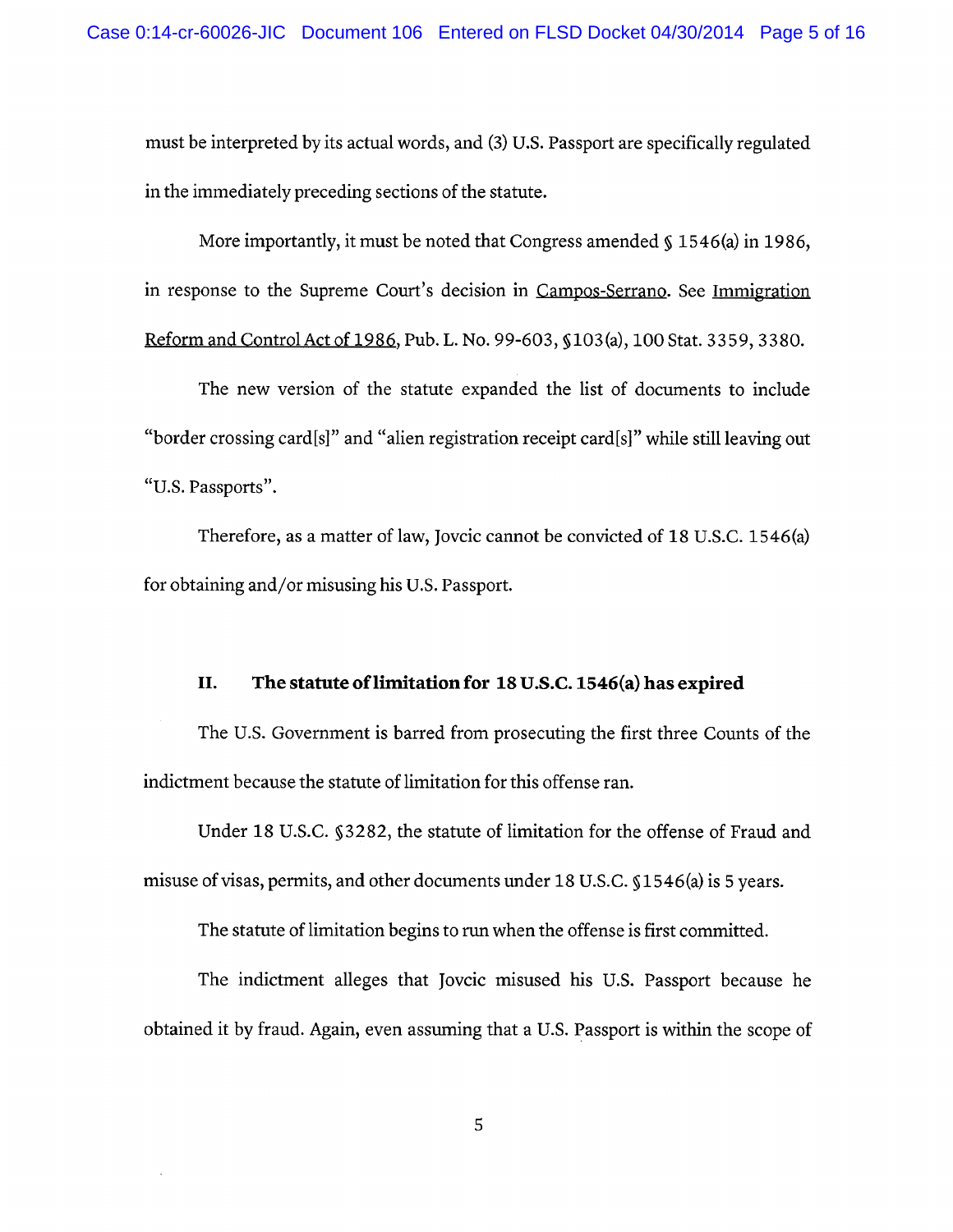must be interpreted by its actual words, and (3) U.S. Passport are specifically regulated in the immediately preceding sections of the statute.

More importantly, it must be noted that Congress amended  $\zeta$  1546(a) in 1986, in response to the Supreme Court's decision in Campos-Serrano. See Immigration Reform and Control Act of 1986, Pub. L. No. 99-603, §103(a), 100 Stat. 3359, 3380.

The new version of the statute expanded the list of documents to include "border crossing card[s]" and "alien registration receipt card[s]" while still leaving out "U.S. Passports".

Therefore, as a matter of law, Jovcic cannot be convicted of 18 U.S.C. 1546(a) for obtaining and/or misusing his U.S. Passport.

#### The statute of limitation for 18 U.S.C. 1546(a) has expired II.

The U.S. Government is barred from prosecuting the first three Counts of the indictment because the statute of limitation for this offense ran.

Under 18 U.S.C. §3282, the statute of limitation for the offense of Fraud and misuse of visas, permits, and other documents under 18 U.S.C. §1546(a) is 5 years.

The statute of limitation begins to run when the offense is first committed.

The indictment alleges that Jovcic misused his U.S. Passport because he obtained it by fraud. Again, even assuming that a U.S. Passport is within the scope of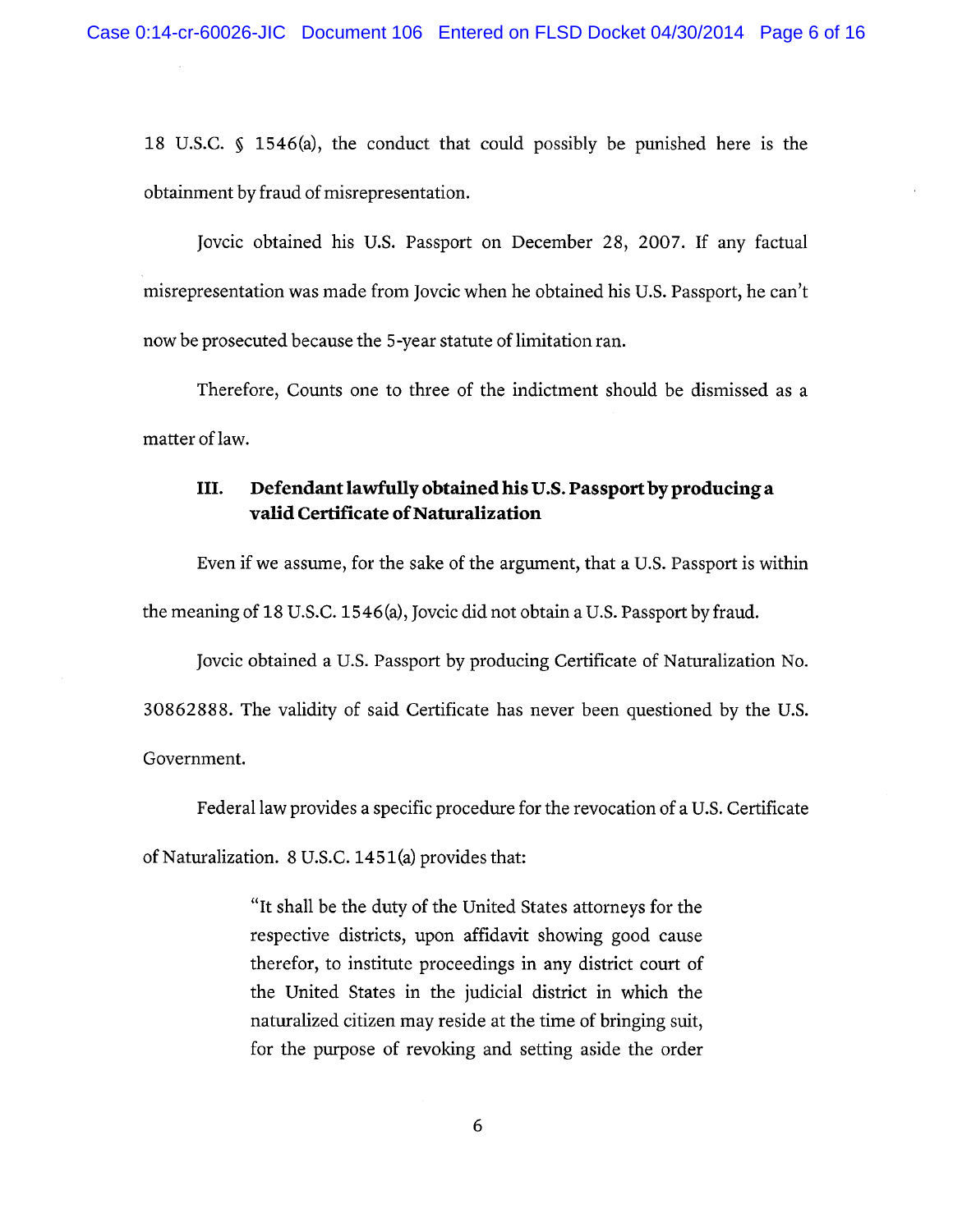18 U.S.C.  $\oint$  1546(a), the conduct that could possibly be punished here is the obtainment by fraud of misrepresentation.

Jovcic obtained his U.S. Passport on December 28, 2007. If any factual misrepresentation was made from Jovcic when he obtained his U.S. Passport, he can't now be prosecuted because the 5-year statute of limitation ran.

Therefore, Counts one to three of the indictment should be dismissed as a matter of law.

#### III. Defendant lawfully obtained his U.S. Passport by producing a valid Certificate of Naturalization

Even if we assume, for the sake of the argument, that a U.S. Passport is within the meaning of 18 U.S.C. 1546(a), Jovcic did not obtain a U.S. Passport by fraud.

Jovcic obtained a U.S. Passport by producing Certificate of Naturalization No. 30862888. The validity of said Certificate has never been questioned by the U.S. Government.

Federal law provides a specific procedure for the revocation of a U.S. Certificate

of Naturalization. 8 U.S.C. 1451(a) provides that:

"It shall be the duty of the United States attorneys for the respective districts, upon affidavit showing good cause therefor, to institute proceedings in any district court of the United States in the judicial district in which the naturalized citizen may reside at the time of bringing suit, for the purpose of revoking and setting aside the order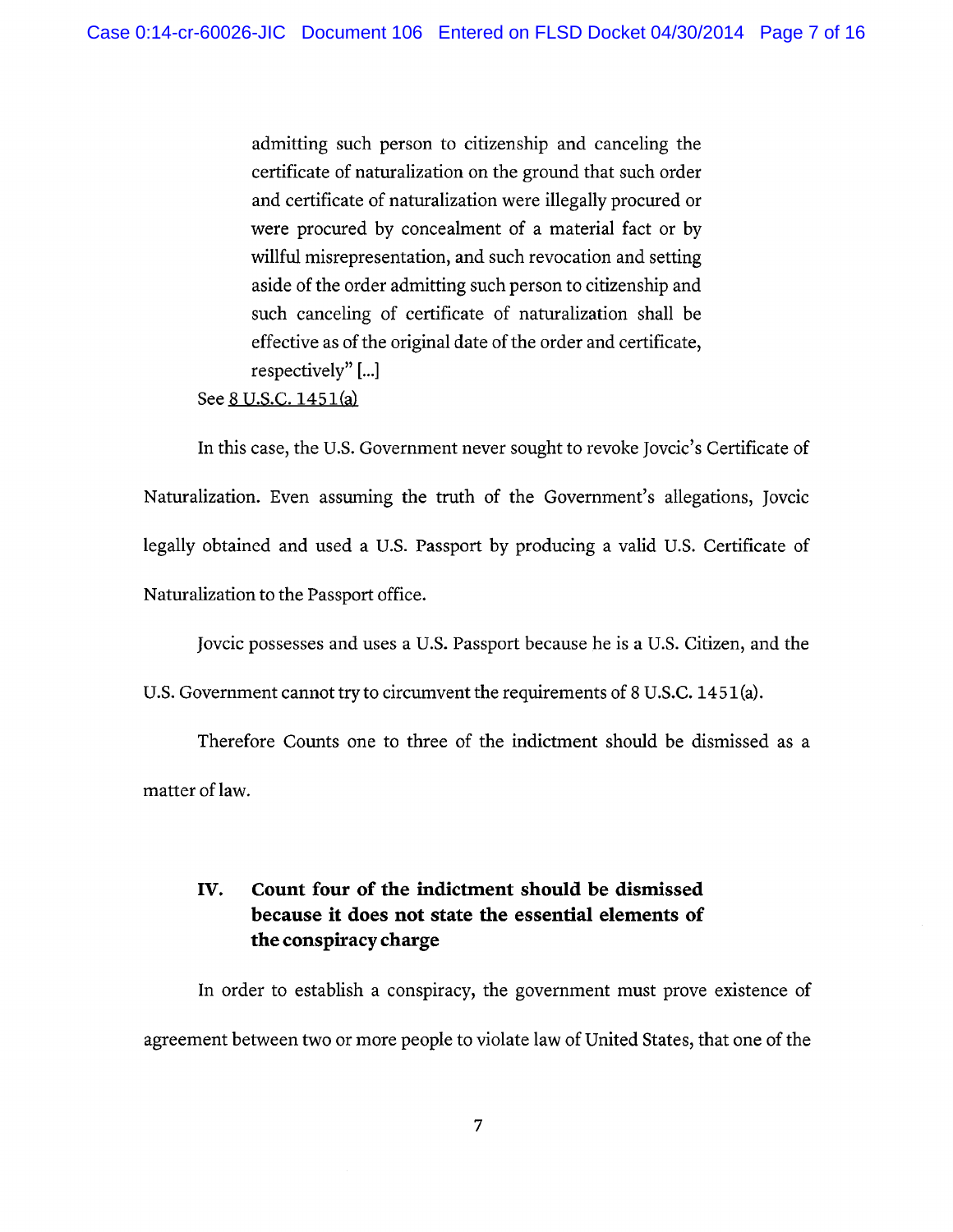admitting such person to citizenship and canceling the certificate of naturalization on the ground that such order and certificate of naturalization were illegally procured or were procured by concealment of a material fact or by willful misrepresentation, and such revocation and setting aside of the order admitting such person to citizenship and such canceling of certificate of naturalization shall be effective as of the original date of the order and certificate, respectively"[...]

See 8 U.S.C. 1451(a)

In this case, the U.S. Government never sought to revoke Jovcic's Certificate of Naturalization. Even assuming the truth of the Government's allegations, Jovcic legally obtained and used a U.S. Passport by producing a valid U.S. Certificate of Naturalization to the Passport office.

Jovcic possesses and uses a U.S. Passport because he is a U.S. Citizen, and the

U.S. Government cannot try to circumvent the requirements of 8 U.S.C. 1451(a).

Therefore Counts one to three of the indictment should be dismissed as a matter of law.

### IV. Count four of the indictment should be dismissed because it does not state the essential elements of the conspiracy charge

In order to establish a conspiracy, the government must prove existence of agreement between two or more people to violate law of United States, that one of the

 $\overline{7}$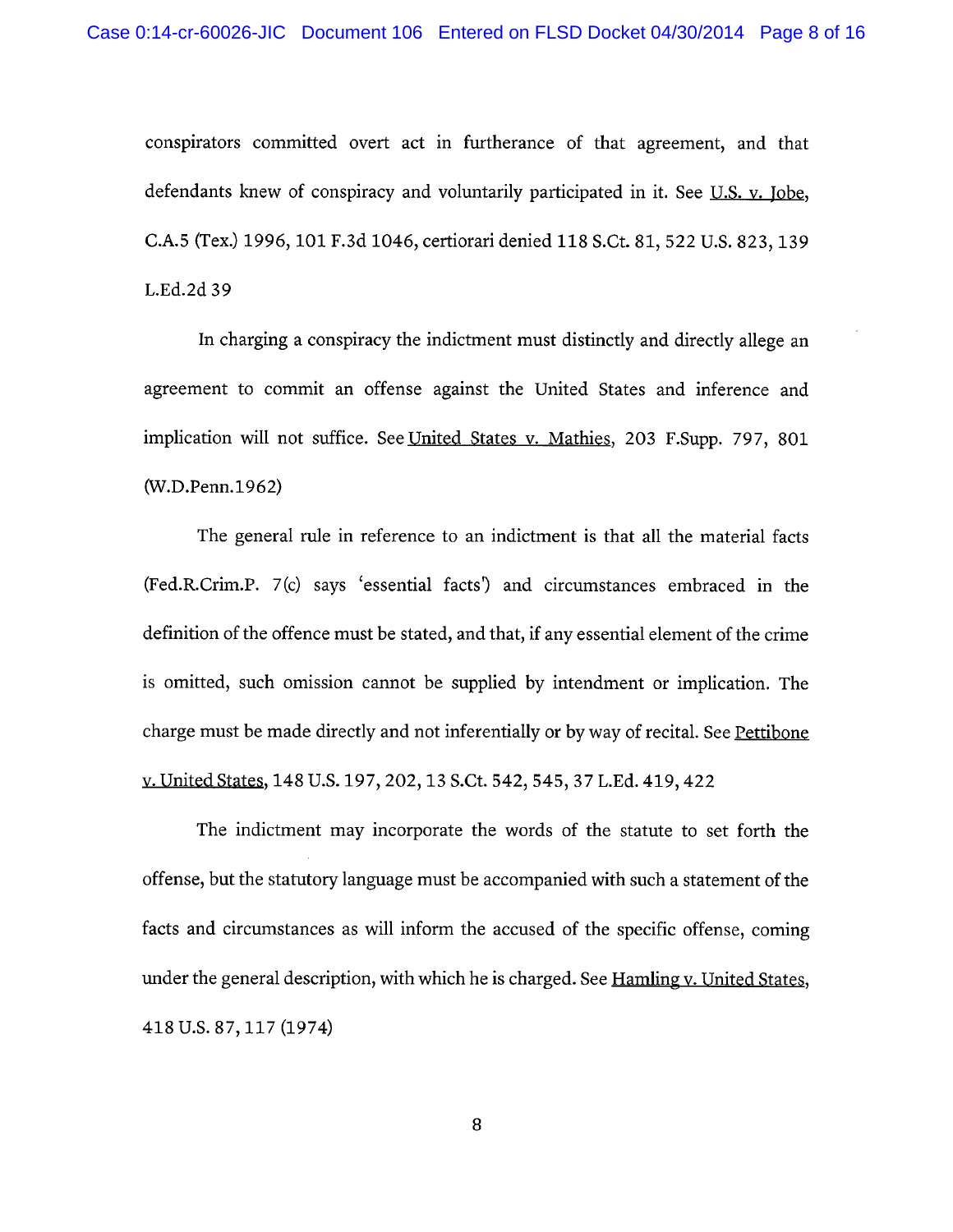conspirators committed overt act in furtherance of that agreement, and that defendants knew of conspiracy and voluntarily participated in it. See U.S. v. Jobe, C.A.5 (Tex.) 1996, 101 F.3d 1046, certiorari denied 118 S.Ct. 81, 522 U.S. 823, 139 L.Ed.2d 39

In charging a conspiracy the indictment must distinctly and directly allege an agreement to commit an offense against the United States and inference and implication will not suffice. See United States v. Mathies, 203 F.Supp. 797, 801 (W.D.Penn.1962)

The general rule in reference to an indictment is that all the material facts (Fed.R.Crim.P. 7(c) says 'essential facts') and circumstances embraced in the definition of the offence must be stated, and that, if any essential element of the crime is omitted, such omission cannot be supplied by intendment or implication. The charge must be made directly and not inferentially or by way of recital. See Pettibone v. United States, 148 U.S. 197, 202, 13 S.Ct. 542, 545, 37 L.Ed. 419, 422

The indictment may incorporate the words of the statute to set forth the offense, but the statutory language must be accompanied with such a statement of the facts and circumstances as will inform the accused of the specific offense, coming under the general description, with which he is charged. See Hamling v. United States, 418 U.S. 87, 117 (1974)

8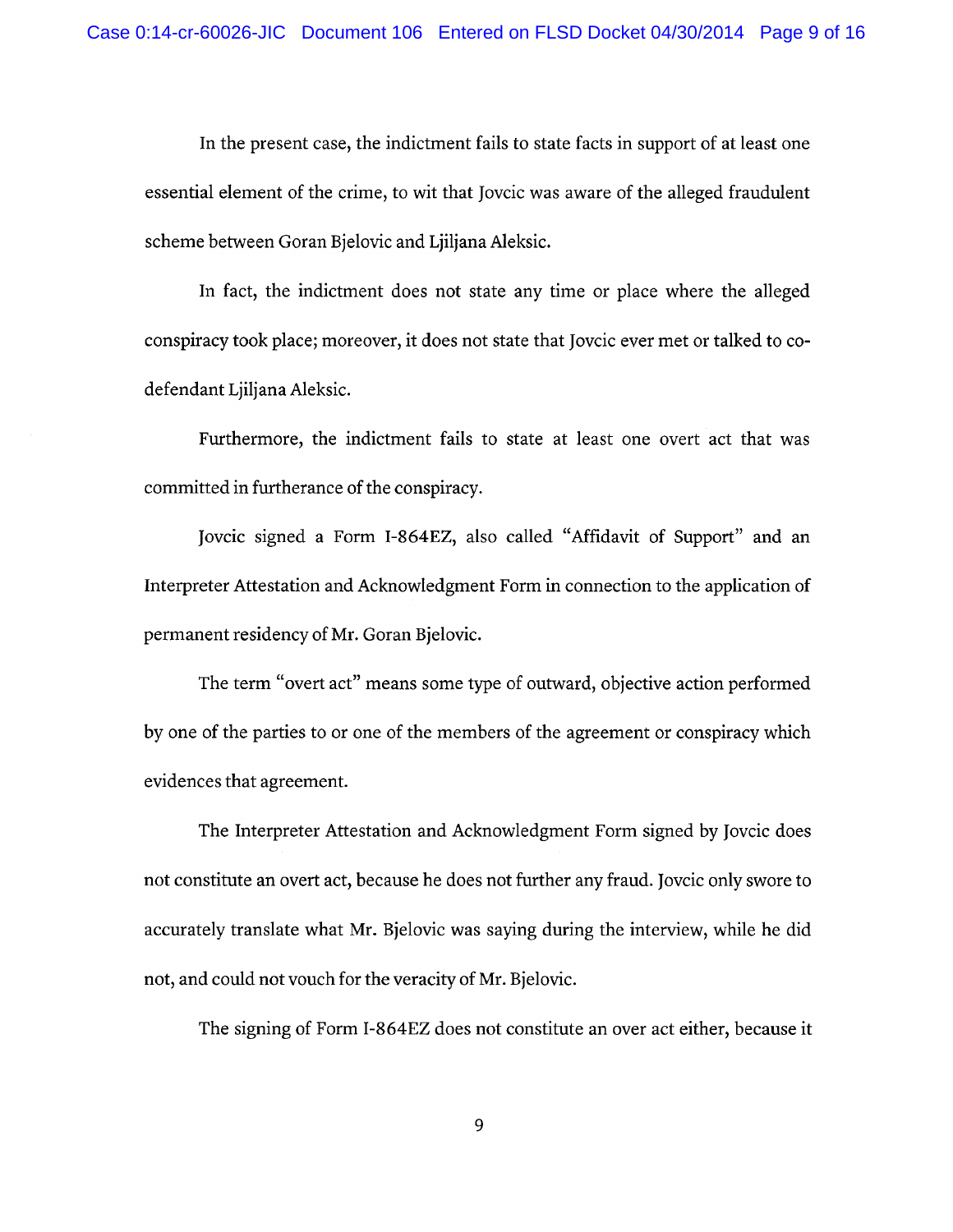In the present case, the indictment fails to state facts in support of at least one essential element of the crime, to wit that Jovcic was aware of the alleged fraudulent scheme between Goran Bjelovic and Ljiljana Aleksic.

In fact, the indictment does not state any time or place where the alleged conspiracy took place; moreover, it does not state that Jovcic ever met or talked to codefendant Ljiljana Aleksic.

Furthermore, the indictment fails to state at least one overt act that was committed in furtherance of the conspiracy.

Jovcic signed a Form I-864EZ, also called "Affidavit of Support" and an Interpreter Attestation and Acknowledgment Form in connection to the application of permanent residency of Mr. Goran Bjelovic.

The term "overt act" means some type of outward, objective action performed by one of the parties to or one of the members of the agreement or conspiracy which evidences that agreement.

The Interpreter Attestation and Acknowledgment Form signed by Jovcic does not constitute an overt act, because he does not further any fraud. Joveic only swore to accurately translate what Mr. Bjelovic was saying during the interview, while he did not, and could not vouch for the veracity of Mr. Bjelovic.

The signing of Form I-864EZ does not constitute an over act either, because it

9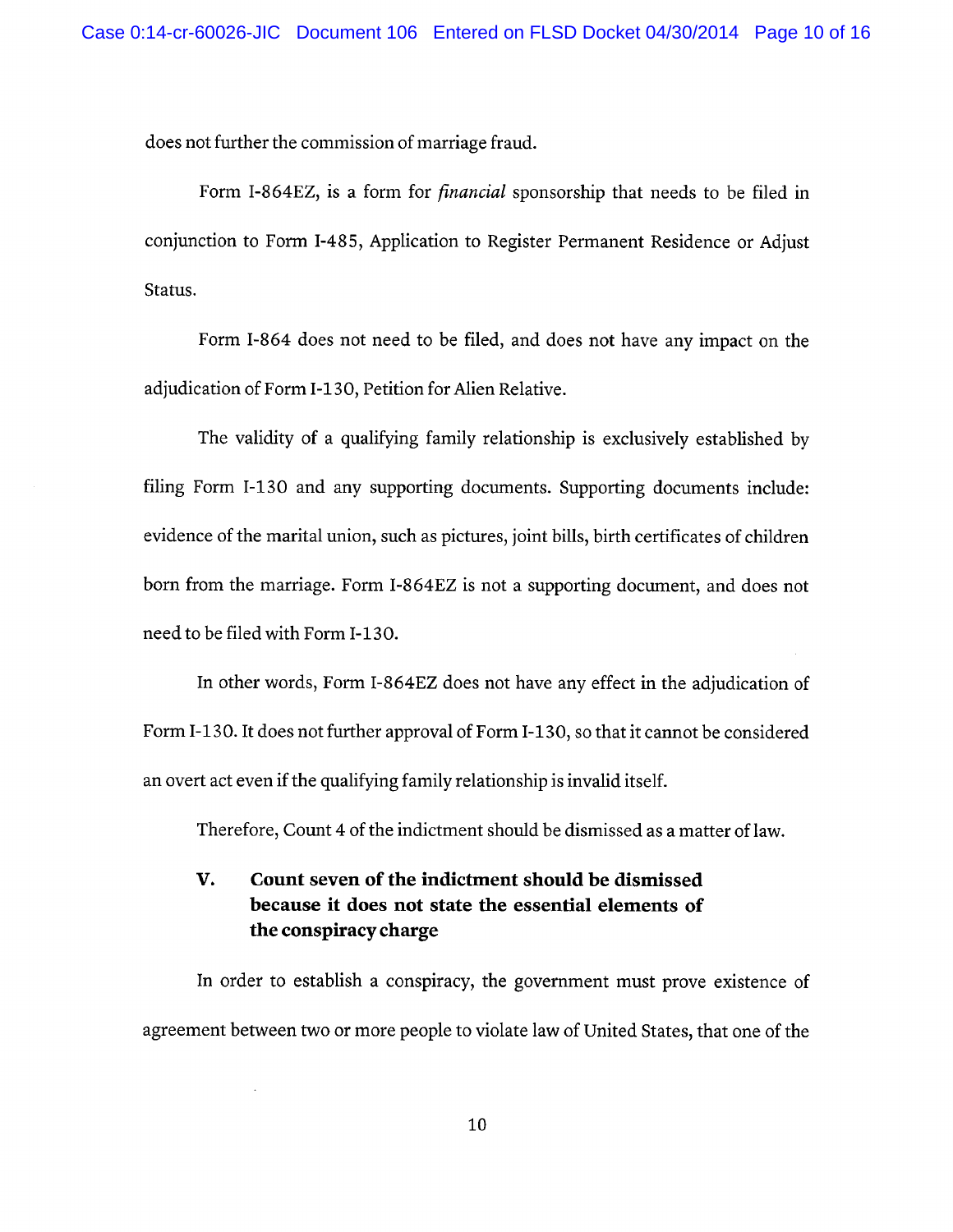does not further the commission of marriage fraud.

Form I-864EZ, is a form for *financial* sponsorship that needs to be filed in conjunction to Form I-485, Application to Register Permanent Residence or Adjust Status.

Form I-864 does not need to be filed, and does not have any impact on the adjudication of Form I-130, Petition for Alien Relative.

The validity of a qualifying family relationship is exclusively established by filing Form I-130 and any supporting documents. Supporting documents include: evidence of the marital union, such as pictures, joint bills, birth certificates of children born from the marriage. Form I-864EZ is not a supporting document, and does not need to be filed with Form I-130.

In other words, Form I-864EZ does not have any effect in the adjudication of Form I-130. It does not further approval of Form I-130, so that it cannot be considered an overt act even if the qualifying family relationship is invalid itself.

Therefore, Count 4 of the indictment should be dismissed as a matter of law.

### V. Count seven of the indictment should be dismissed because it does not state the essential elements of the conspiracy charge

In order to establish a conspiracy, the government must prove existence of agreement between two or more people to violate law of United States, that one of the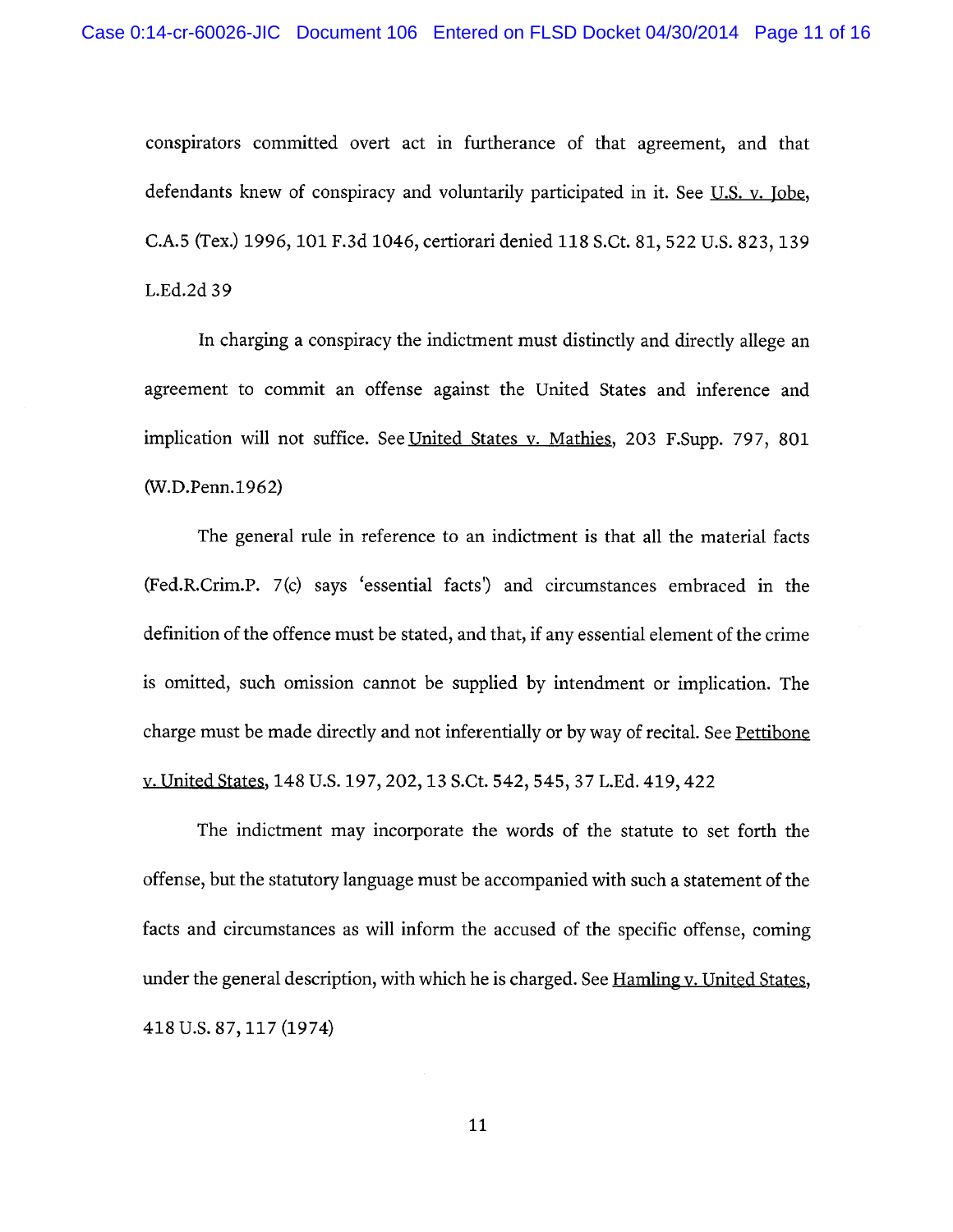conspirators committed overt act in furtherance of that agreement, and that defendants knew of conspiracy and voluntarily participated in it. See U.S. v. Jobe, C.A.5 (Tex.) 1996, 101 F.3d 1046, certiorari denied 118 S.Ct. 81, 522 U.S. 823, 139 L.Ed.2d 39

In charging a conspiracy the indictment must distinctly and directly allege an agreement to commit an offense against the United States and inference and implication will not suffice. See United States v. Mathies, 203 F.Supp. 797, 801 (W.D.Penn.1962)

The general rule in reference to an indictment is that all the material facts (Fed.R.Crim.P. 7(c) says 'essential facts') and circumstances embraced in the definition of the offence must be stated, and that, if any essential element of the crime is omitted, such omission cannot be supplied by intendment or implication. The charge must be made directly and not inferentially or by way of recital. See Pettibone v. United States, 148 U.S. 197, 202, 13 S.Ct. 542, 545, 37 L.Ed. 419, 422

The indictment may incorporate the words of the statute to set forth the offense, but the statutory language must be accompanied with such a statement of the facts and circumstances as will inform the accused of the specific offense, coming under the general description, with which he is charged. See Hamling y. United States, 418 U.S. 87, 117 (1974)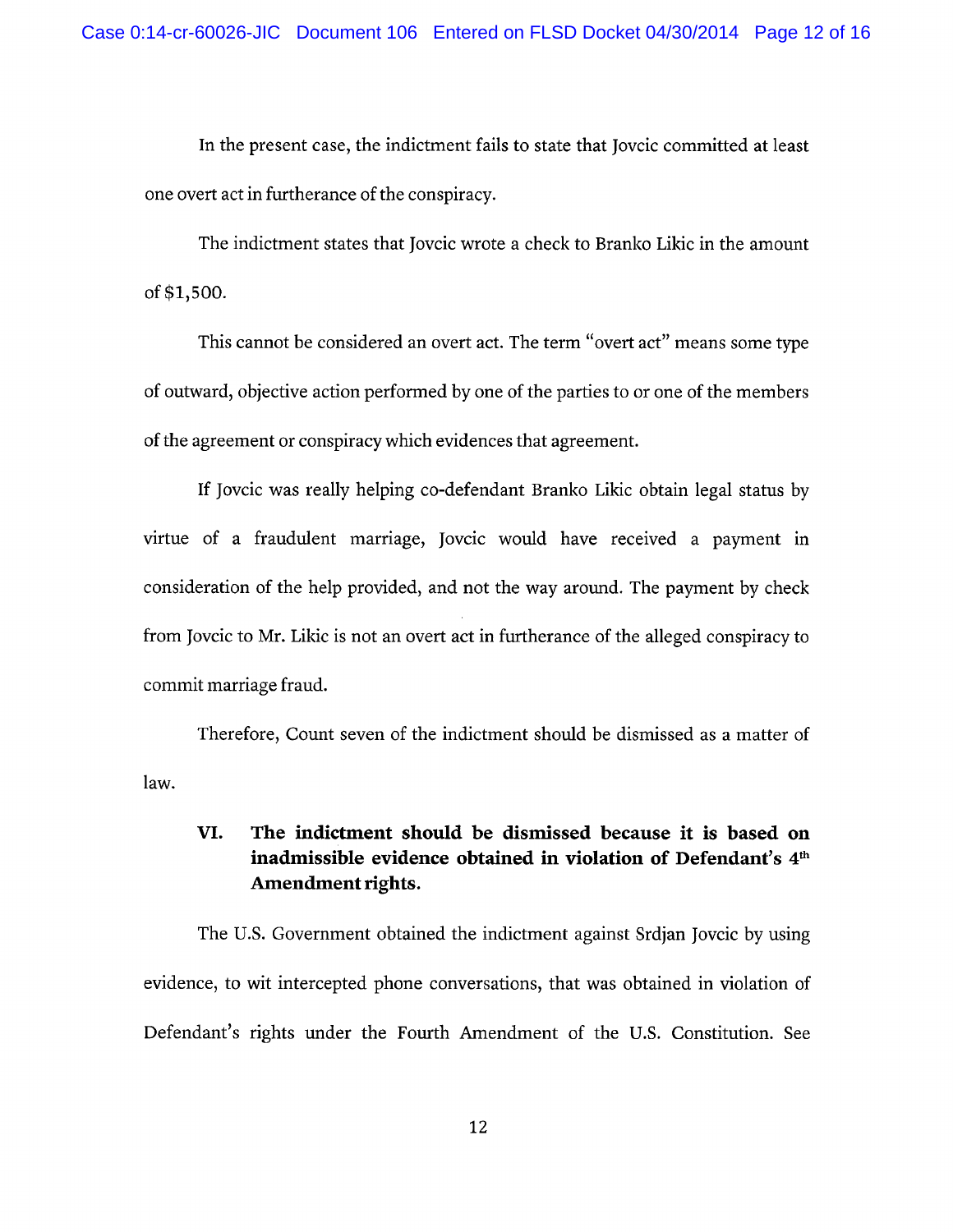In the present case, the indictment fails to state that Jovcic committed at least one overt act in furtherance of the conspiracy.

The indictment states that Jovcic wrote a check to Branko Likic in the amount of \$1,500.

This cannot be considered an overt act. The term "overt act" means some type of outward, objective action performed by one of the parties to or one of the members of the agreement or conspiracy which evidences that agreement.

If Jovcic was really helping co-defendant Branko Likic obtain legal status by virtue of a fraudulent marriage, Jovcic would have received a payment in consideration of the help provided, and not the way around. The payment by check from Joveic to Mr. Likic is not an overt act in furtherance of the alleged conspiracy to commit marriage fraud.

Therefore, Count seven of the indictment should be dismissed as a matter of law.

### VI. The indictment should be dismissed because it is based on inadmissible evidence obtained in violation of Defendant's 4<sup>th</sup> Amendment rights.

The U.S. Government obtained the indictment against Srdjan Jovcic by using evidence, to wit intercepted phone conversations, that was obtained in violation of Defendant's rights under the Fourth Amendment of the U.S. Constitution. See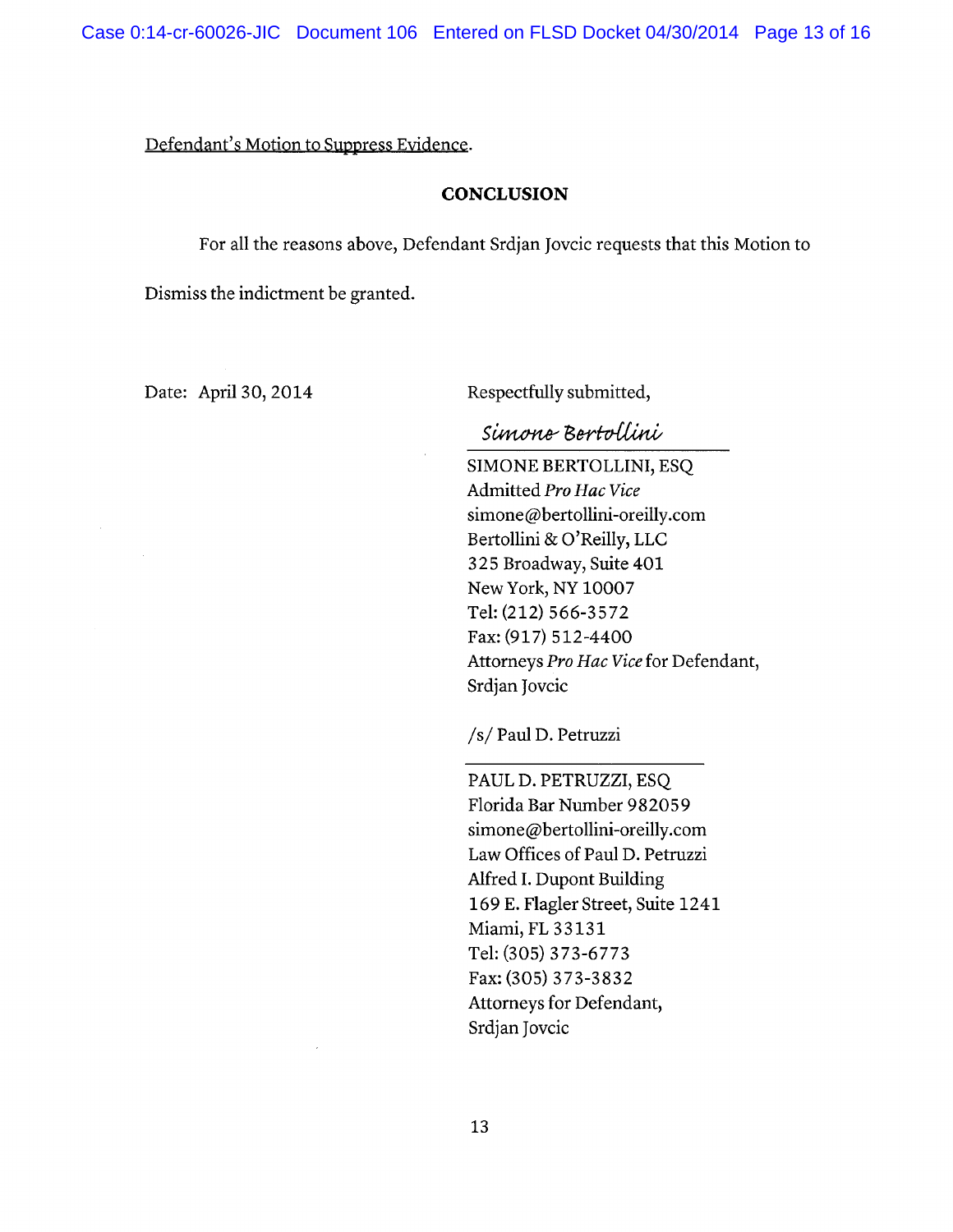# Defendant's Motion to Suppress Evidence.

## **CONCLUSION**

For all the reasons above, Defendant Srdjan Jovcic requests that this Motion to

Dismiss the indictment be granted.

Date: April 30, 2014

Respectfully submitted,

# Simone Bertollini

SIMONE BERTOLLINI, ESQ Admitted Pro Hac Vice simone@bertollini-oreilly.com Bertollini & O'Reilly, LLC 325 Broadway, Suite 401 New York, NY 10007 Tel: (212) 566-3572 Fax: (917) 512-4400 Attorneys Pro Hac Vice for Defendant, Srdjan Jovcic

/s/ Paul D. Petruzzi

PAUL D. PETRUZZI, ESQ Florida Bar Number 982059 simone@bertollini-oreilly.com Law Offices of Paul D. Petruzzi Alfred I. Dupont Building 169 E. Flagler Street, Suite 1241 Miami, FL 33131 Tel: (305) 373-6773 Fax: (305) 373-3832 Attorneys for Defendant, Srdjan Jovcic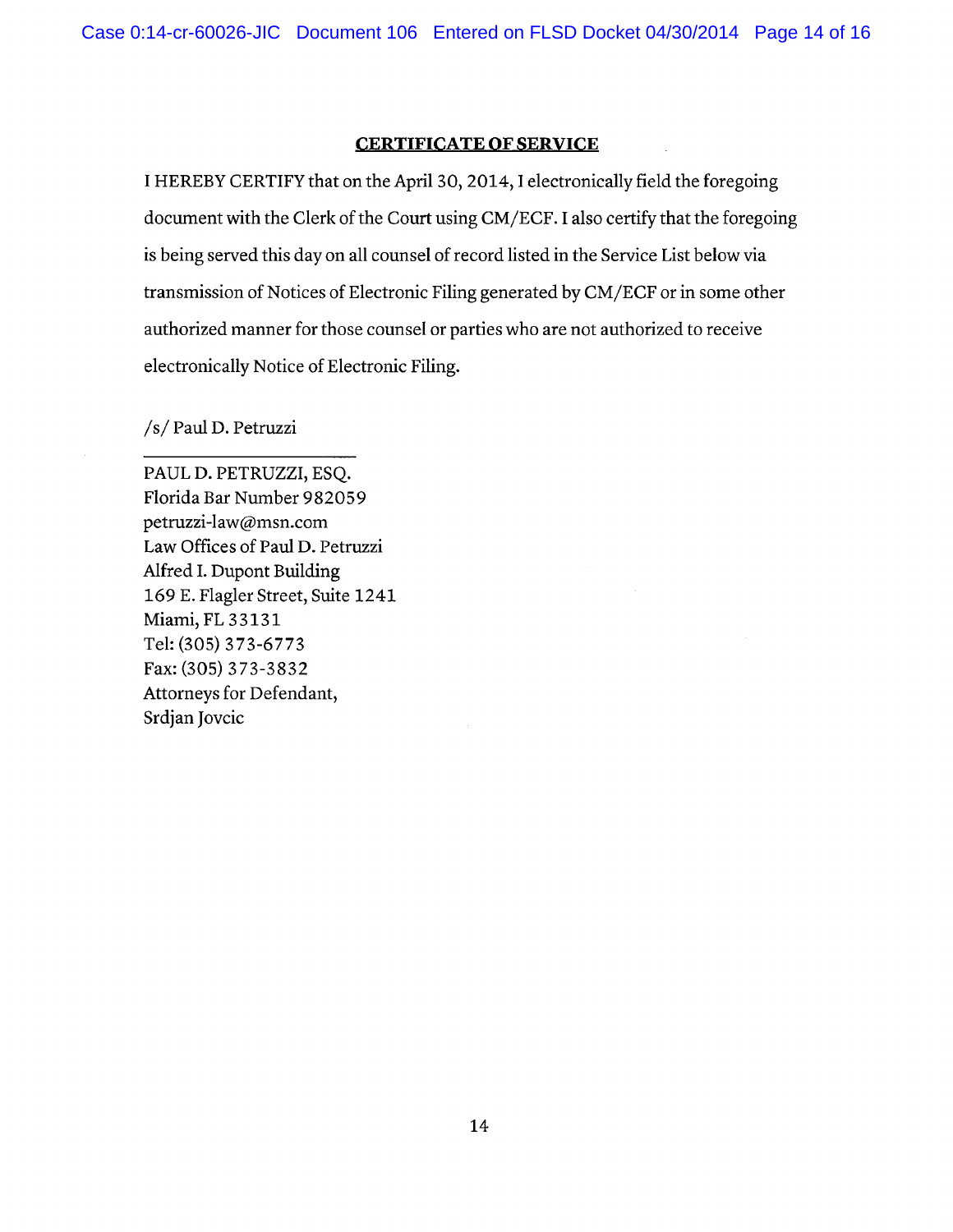## **CERTIFICATE OF SERVICE**

I HEREBY CERTIFY that on the April 30, 2014, I electronically field the foregoing document with the Clerk of the Court using CM/ECF. I also certify that the foregoing is being served this day on all counsel of record listed in the Service List below via transmission of Notices of Electronic Filing generated by CM/ECF or in some other authorized manner for those counsel or parties who are not authorized to receive electronically Notice of Electronic Filing.

/s/ Paul D. Petruzzi

PAUL D. PETRUZZI, ESQ. Florida Bar Number 982059 petruzzi-law@msn.com Law Offices of Paul D. Petruzzi Alfred I. Dupont Building 169 E. Flagler Street, Suite 1241 Miami, FL 33131 Tel: (305) 373-6773 Fax: (305) 373-3832 Attorneys for Defendant, Srdjan Jovcic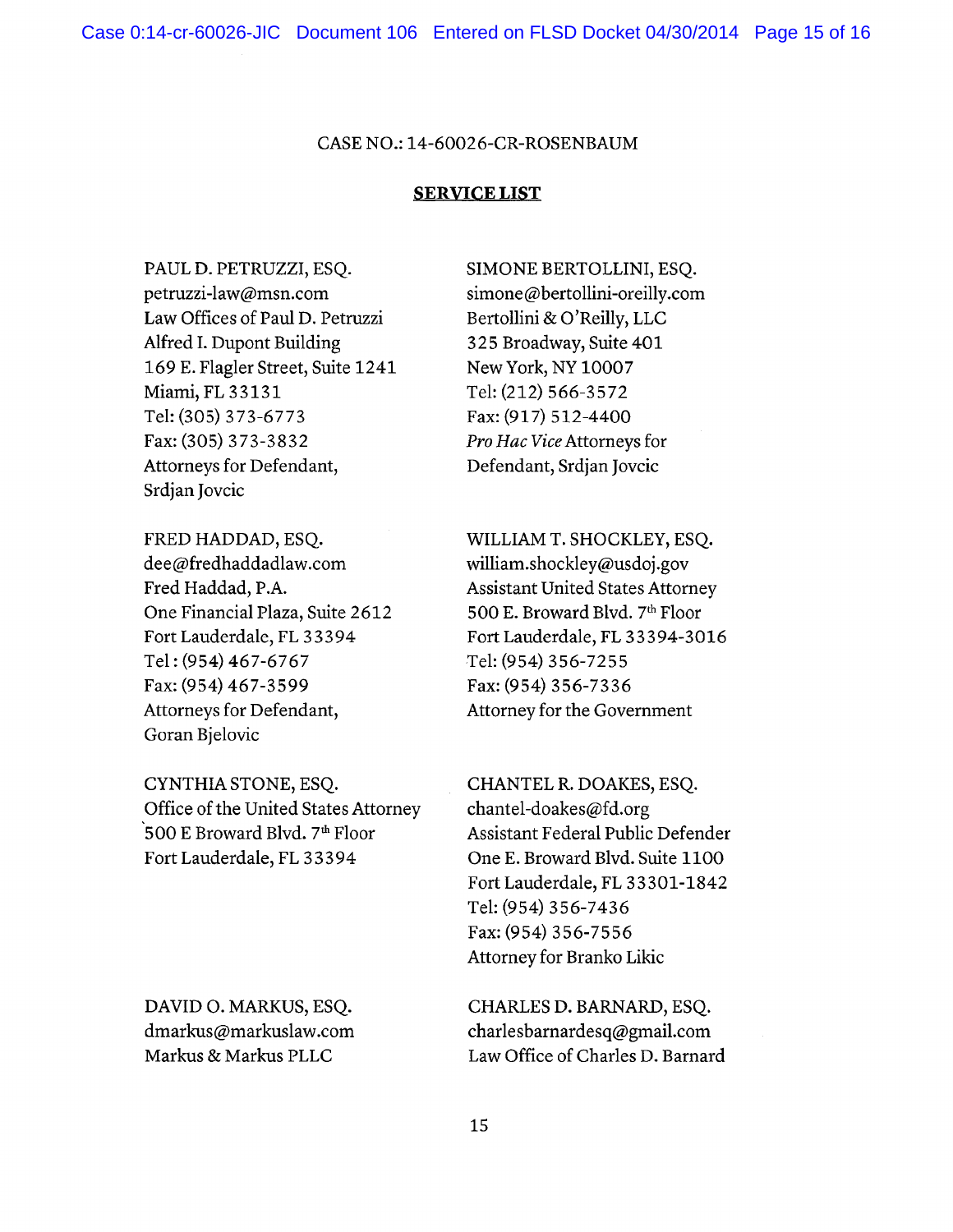### CASE NO.: 14-60026-CR-ROSENBAUM

#### **SERVICE LIST**

PAUL D. PETRUZZI, ESQ. petruzzi-law@msn.com Law Offices of Paul D. Petruzzi Alfred I. Dupont Building 169 E. Flagler Street, Suite 1241 Miami, FL 33131 Tel: (305) 373-6773 Fax: (305) 373-3832 Attorneys for Defendant, Srdjan Jovcic

FRED HADDAD, ESQ. dee@fredhaddadlaw.com Fred Haddad, P.A. One Financial Plaza, Suite 2612 Fort Lauderdale, FL 33394 Tel: (954) 467-6767 Fax: (954) 467-3599 Attorneys for Defendant, Goran Bjelovic

CYNTHIA STONE, ESQ. Office of the United States Attorney 500 E Broward Blvd. 7<sup>th</sup> Floor Fort Lauderdale, FL 33394

DAVID O. MARKUS, ESQ. dmarkus@markuslaw.com Markus & Markus PLLC

SIMONE BERTOLLINI, ESQ. simone@bertollini-oreilly.com Bertollini & O'Reilly, LLC 325 Broadway, Suite 401 New York, NY 10007 Tel: (212) 566-3572 Fax: (917) 512-4400 Pro Hac Vice Attorneys for Defendant, Srdjan Jovcic

WILLIAM T. SHOCKLEY, ESQ. william.shockley@usdoj.gov **Assistant United States Attorney** 500 E. Broward Blvd. 7th Floor Fort Lauderdale, FL 33394-3016 Tel: (954) 356-7255 Fax: (954) 356-7336 Attorney for the Government

CHANTEL R. DOAKES, ESQ. chantel-doakes@fd.org **Assistant Federal Public Defender** One E. Broward Blvd. Suite 1100 Fort Lauderdale, FL 33301-1842 Tel: (954) 356-7436 Fax: (954) 356-7556 Attorney for Branko Likic

CHARLES D. BARNARD, ESQ. charlesbarnardesq@gmail.com Law Office of Charles D. Barnard